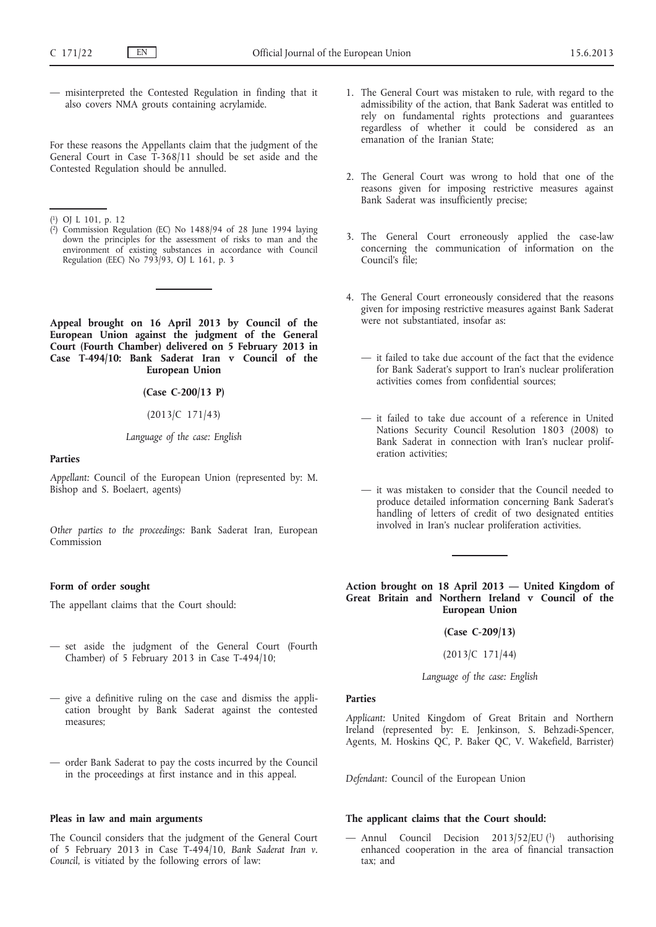— misinterpreted the Contested Regulation in finding that it also covers NMA grouts containing acrylamide.

For these reasons the Appellants claim that the judgment of the General Court in Case T-368/11 should be set aside and the Contested Regulation should be annulled.

- ( 1) OJ L 101, p. 12
- ( 2) Commission Regulation (EC) No 1488/94 of 28 June 1994 laying down the principles for the assessment of risks to man and the environment of existing substances in accordance with Council Regulation (EEC) No 793/93, OJ L 161, p. 3

**Appeal brought on 16 April 2013 by Council of the European Union against the judgment of the General Court (Fourth Chamber) delivered on 5 February 2013 in Case T-494/10: Bank Saderat Iran v Council of the European Union**

# **(Case C-200/13 P)**

(2013/C 171/43)

## *Language of the case: English*

#### **Parties**

*Appellant:* Council of the European Union (represented by: M. Bishop and S. Boelaert, agents)

*Other parties to the proceedings:* Bank Saderat Iran, European Commission

## **Form of order sought**

The appellant claims that the Court should:

- set aside the judgment of the General Court (Fourth Chamber) of 5 February 2013 in Case T-494/10;
- give a definitive ruling on the case and dismiss the application brought by Bank Saderat against the contested measures;
- order Bank Saderat to pay the costs incurred by the Council in the proceedings at first instance and in this appeal.

## **Pleas in law and main arguments**

The Council considers that the judgment of the General Court of 5 February 2013 in Case T-494/10, *Bank Saderat Iran v. Council*, is vitiated by the following errors of law:

- 1. The General Court was mistaken to rule, with regard to the admissibility of the action, that Bank Saderat was entitled to rely on fundamental rights protections and guarantees regardless of whether it could be considered as an emanation of the Iranian State;
- 2. The General Court was wrong to hold that one of the reasons given for imposing restrictive measures against Bank Saderat was insufficiently precise;
- 3. The General Court erroneously applied the case-law concerning the communication of information on the Council's file;
- 4. The General Court erroneously considered that the reasons given for imposing restrictive measures against Bank Saderat were not substantiated, insofar as:
	- it failed to take due account of the fact that the evidence for Bank Saderat's support to Iran's nuclear proliferation activities comes from confidential sources;
	- it failed to take due account of a reference in United Nations Security Council Resolution 1803 (2008) to Bank Saderat in connection with Iran's nuclear proliferation activities;
	- it was mistaken to consider that the Council needed to produce detailed information concerning Bank Saderat's handling of letters of credit of two designated entities involved in Iran's nuclear proliferation activities.

**Action brought on 18 April 2013 — United Kingdom of Great Britain and Northern Ireland v Council of the European Union**

**(Case C-209/13)**

(2013/C 171/44)

*Language of the case: English*

## **Parties**

*Applicant:* United Kingdom of Great Britain and Northern Ireland (represented by: E. Jenkinson, S. Behzadi-Spencer, Agents, M. Hoskins QC, P. Baker QC, V. Wakefield, Barrister)

*Defendant:* Council of the European Union

## **The applicant claims that the Court should:**

— Annul Council Decision 2013/52/EU (1) authorising enhanced cooperation in the area of financial transaction tax; and